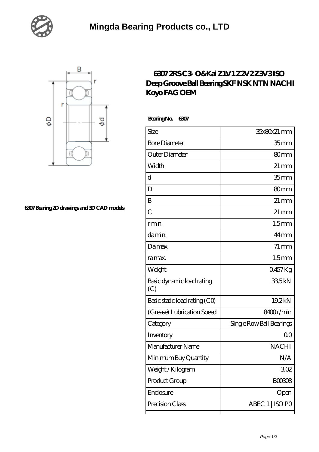



## **[6307 Bearing 2D drawings and 3D CAD models](https://xnxse.com/pic-630665.html)**

## **[6307 2RS C3- O&Kai Z1V1 Z2V2 Z3V3 ISO](https://xnxse.com/sell-630665-6307-2rs-c3-o-kai-z1v1-z2v2-z3v3-iso-deep-groove-ball-bearing-skf-nsk-ntn-nachi-koyo-fag-oem.html) [Deep Groove Ball Bearing SKF NSK NTN NACHI](https://xnxse.com/sell-630665-6307-2rs-c3-o-kai-z1v1-z2v2-z3v3-iso-deep-groove-ball-bearing-skf-nsk-ntn-nachi-koyo-fag-oem.html) [Koyo FAG OEM](https://xnxse.com/sell-630665-6307-2rs-c3-o-kai-z1v1-z2v2-z3v3-iso-deep-groove-ball-bearing-skf-nsk-ntn-nachi-koyo-fag-oem.html)**

 **Bearing No. 6307**

| Size                             | 35x80x21 mm              |
|----------------------------------|--------------------------|
| <b>Bore Diameter</b>             | 35 mm                    |
| Outer Diameter                   | 80 <sub>mm</sub>         |
| Width                            | $21 \,\mathrm{mm}$       |
| d                                | 35 <sub>mm</sub>         |
| D                                | 80 <sub>mm</sub>         |
| B                                | $21 \,\mathrm{mm}$       |
| $\overline{C}$                   | $21 \,\mathrm{mm}$       |
| r min.                           | 1.5 <sub>mm</sub>        |
| da min.                          | $44$ mm                  |
| Damax.                           | $71 \,\mathrm{mm}$       |
| ra max.                          | 1.5 <sub>mm</sub>        |
| Weight                           | 0457Kg                   |
| Basic dynamic load rating<br>(C) | 335kN                    |
| Basic static load rating (CO)    | 19,2kN                   |
| (Grease) Lubrication Speed       | 8400r/min                |
| Category                         | Single Row Ball Bearings |
| Inventory                        | 0 <sup>0</sup>           |
| Manufacturer Name                | <b>NACHI</b>             |
| Minimum Buy Quantity             | N/A                      |
| Weight/Kilogram                  | 302                      |
| Product Group                    | <b>BOO308</b>            |
| Enclosure                        | Open                     |
| Precision Class                  | ABEC 1   ISO PO          |
|                                  |                          |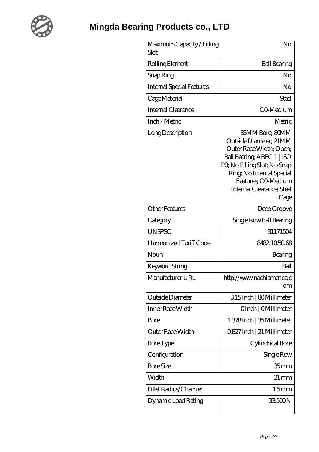

## **[Mingda Bearing Products co., LTD](https://xnxse.com)**

| Maximum Capacity / Filling<br>Slot | No                                                                                                                                                                                                                        |
|------------------------------------|---------------------------------------------------------------------------------------------------------------------------------------------------------------------------------------------------------------------------|
| Rolling Element                    | <b>Ball Bearing</b>                                                                                                                                                                                                       |
| Snap Ring                          | No                                                                                                                                                                                                                        |
| <b>Internal Special Features</b>   | No                                                                                                                                                                                                                        |
| Cage Material                      | Steel                                                                                                                                                                                                                     |
| Internal Clearance                 | CO-Medium                                                                                                                                                                                                                 |
| Inch - Metric                      | Metric                                                                                                                                                                                                                    |
| Long Description                   | 35MM Bore; 80MM<br>Outside Diameter; 21MM<br>Outer Race Width; Open;<br>Ball Bearing ABEC 1   ISO<br>PQ No Filling Slot; No Snap<br>Ring, No Internal Special<br>Features: CO-Medium<br>Internal Clearance; Steel<br>Cage |
| <b>Other Features</b>              | Deep Groove                                                                                                                                                                                                               |
| Category                           | Single Row Ball Bearing                                                                                                                                                                                                   |
| <b>UNSPSC</b>                      | 31171504                                                                                                                                                                                                                  |
| Harmonized Tariff Code             | 8482.105068                                                                                                                                                                                                               |
| Noun                               | Bearing                                                                                                                                                                                                                   |
| Keyword String                     | Ball                                                                                                                                                                                                                      |
| Manufacturer URL                   | http://www.nachiamerica.c<br><b>om</b>                                                                                                                                                                                    |
| Outside Diameter                   | 315Inch   80Millimeter                                                                                                                                                                                                    |
| Inner Race Width                   | OInch   OMillimeter                                                                                                                                                                                                       |
| <b>Bore</b>                        | 1.378Inch   35 Millimeter                                                                                                                                                                                                 |
| Outer Race Width                   | 0.827 Inch   21 Millimeter                                                                                                                                                                                                |
| <b>Bore Type</b>                   | Cylindrical Bore                                                                                                                                                                                                          |
| Configuration                      | Single Row                                                                                                                                                                                                                |
| <b>Bore Size</b>                   | 35 <sub>mm</sub>                                                                                                                                                                                                          |
| Width                              | $21 \,\mathrm{mm}$                                                                                                                                                                                                        |
| Fillet Radius/Chamfer              | 1.5 <sub>mm</sub>                                                                                                                                                                                                         |
| Dynamic Load Rating                | 33,500N                                                                                                                                                                                                                   |